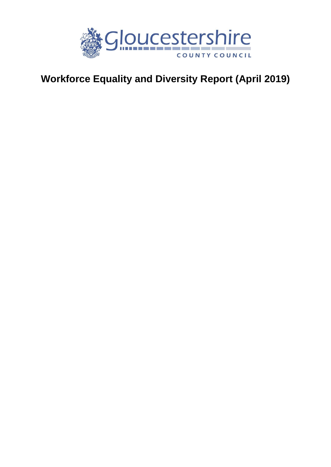

# **Workforce Equality and Diversity Report (April 2019)**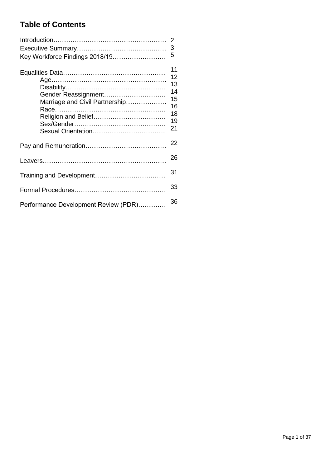# **Table of Contents**

| Key Workforce Findings 2018/19                        | 2<br>3<br>5                                        |
|-------------------------------------------------------|----------------------------------------------------|
|                                                       |                                                    |
| Gender Reassignment<br>Marriage and Civil Partnership | 11<br>12<br>13<br>14<br>15<br>16<br>18<br>19<br>21 |
|                                                       | 22                                                 |
|                                                       | 26                                                 |
|                                                       | 31                                                 |
|                                                       | 33                                                 |
| Performance Development Review (PDR)                  | 36                                                 |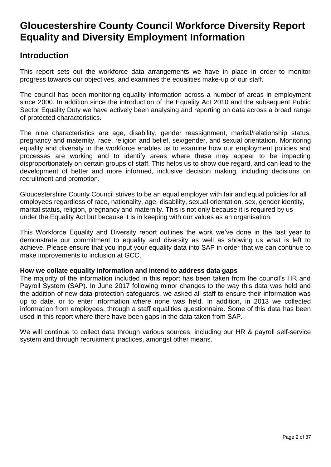# **Gloucestershire County Council Workforce Diversity Report Equality and Diversity Employment Information**

# **Introduction**

This report sets out the workforce data arrangements we have in place in order to monitor progress towards our objectives, and examines the equalities make-up of our staff.

The council has been monitoring equality information across a number of areas in employment since 2000. In addition since the introduction of the Equality Act 2010 and the subsequent Public Sector Equality Duty we have actively been analysing and reporting on data across a broad range of protected characteristics.

The nine characteristics are age, disability, gender reassignment, marital/relationship status, pregnancy and maternity, race, religion and belief, sex/gender, and sexual orientation. Monitoring equality and diversity in the workforce enables us to examine how our employment policies and processes are working and to identify areas where these may appear to be impacting disproportionately on certain groups of staff. This helps us to show due regard, and can lead to the development of better and more informed, inclusive decision making, including decisions on recruitment and promotion.

Gloucestershire County Council strives to be an equal employer with fair and equal policies for all employees regardless of race, nationality, age, disability, sexual orientation, sex, gender identity, marital status, religion, pregnancy and maternity. This is not only because it is required by us under the Equality Act but because it is in keeping with our values as an organisation.

This Workforce Equality and Diversity report outlines the work we've done in the last year to demonstrate our commitment to equality and diversity as well as showing us what is left to achieve. Please ensure that you input your equality data into SAP in order that we can continue to make improvements to inclusion at GCC.

#### **How we collate equality information and intend to address data gaps**

The majority of the information included in this report has been taken from the council's HR and Payroll System (SAP). In June 2017 following minor changes to the way this data was held and the addition of new data protection safeguards, we asked all staff to ensure their information was up to date, or to enter information where none was held. In addition, in 2013 we collected information from employees, through a staff equalities questionnaire. Some of this data has been used in this report where there have been gaps in the data taken from SAP.

We will continue to collect data through various sources, including our HR & payroll self-service system and through recruitment practices, amongst other means.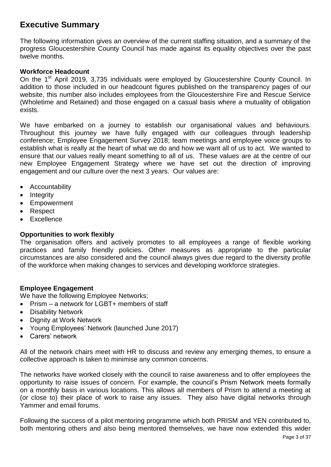# **Executive Summary**

The following information gives an overview of the current staffing situation, and a summary of the progress Gloucestershire County Council has made against its equality objectives over the past twelve months.

#### **Workforce Headcount**

On the 1<sup>st</sup> April 2019, 3,735 individuals were employed by Gloucestershire County Council. In addition to those included in our headcount figures published on the transparency pages of our website, this number also includes employees from the Gloucestershire Fire and Rescue Service (Wholetime and Retained) and those engaged on a casual basis where a mutuality of obligation exists.

We have embarked on a journey to establish our organisational values and behaviours. Throughout this journey we have fully engaged with our colleagues through leadership conference; Employee Engagement Survey 2018; team meetings and employee voice groups to establish what is really at the heart of what we do and how we want all of us to act. We wanted to ensure that our values really meant something to all of us. These values are at the centre of our new Employee Engagement Strategy where we have set out the direction of improving engagement and our culture over the next 3 years. Our values are:

- Accountability
- $\bullet$  Integrity
- Empowerment
- Respect
- Excellence

#### **Opportunities to work flexibly**

The organisation offers and actively promotes to all employees a range of flexible working practices and family friendly policies. Other measures as appropriate to the particular circumstances are also considered and the council always gives due regard to the diversity profile of the workforce when making changes to services and developing workforce strategies.

#### **Employee Engagement**

We have the following Employee Networks;

- Prism a network for LGBT+ members of staff
- Disability Network
- Dignity at Work Network
- Young Employees' Network (launched June 2017)
- Carers' network

All of the network chairs meet with HR to discuss and review any emerging themes, to ensure a collective approach is taken to minimise any common concerns.

The networks have worked closely with the council to raise awareness and to offer employees the opportunity to raise issues of concern. For example, the council's Prism Network meets formally on a monthly basis in various locations. This allows all members of Prism to attend a meeting at (or close to) their place of work to raise any issues. They also have digital networks through Yammer and email forums.

Following the success of a pilot mentoring programme which both PRISM and YEN contributed to, both mentoring others and also being mentored themselves, we have now extended this wider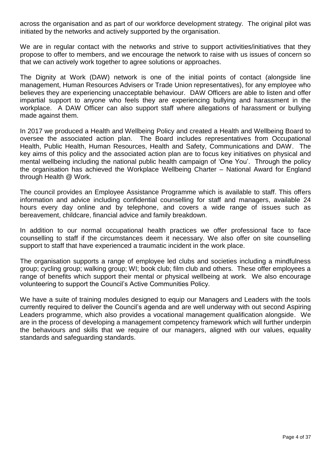across the organisation and as part of our workforce development strategy. The original pilot was initiated by the networks and actively supported by the organisation.

We are in regular contact with the networks and strive to support activities/initiatives that they propose to offer to members, and we encourage the network to raise with us issues of concern so that we can actively work together to agree solutions or approaches.

The Dignity at Work (DAW) network is one of the initial points of contact (alongside line management, Human Resources Advisers or Trade Union representatives), for any employee who believes they are experiencing unacceptable behaviour. DAW Officers are able to listen and offer impartial support to anyone who feels they are experiencing bullying and harassment in the workplace. A DAW Officer can also support staff where allegations of harassment or bullying made against them.

In 2017 we produced a Health and Wellbeing Policy and created a Health and Wellbeing Board to oversee the associated action plan. The Board includes representatives from Occupational Health, Public Health, Human Resources, Health and Safety, Communications and DAW. The key aims of this policy and the associated action plan are to focus key initiatives on physical and mental wellbeing including the national public health campaign of 'One You'. Through the policy the organisation has achieved the Workplace Wellbeing Charter – National Award for England through Health @ Work.

The council provides an Employee Assistance Programme which is available to staff. This offers information and advice including confidential counselling for staff and managers, available 24 hours every day online and by telephone, and covers a wide range of issues such as bereavement, childcare, financial advice and family breakdown.

In addition to our normal occupational health practices we offer professional face to face counselling to staff if the circumstances deem it necessary. We also offer on site counselling support to staff that have experienced a traumatic incident in the work place.

The organisation supports a range of employee led clubs and societies including a mindfulness group; cycling group; walking group; WI; book club; film club and others. These offer employees a range of benefits which support their mental or physical wellbeing at work. We also encourage volunteering to support the Council's Active Communities Policy.

We have a suite of training modules designed to equip our Managers and Leaders with the tools currently required to deliver the Council's agenda and are well underway with out second Aspiring Leaders programme, which also provides a vocational management qualification alongside. We are in the process of developing a management competency framework which will further underpin the behaviours and skills that we require of our managers, aligned with our values, equality standards and safeguarding standards.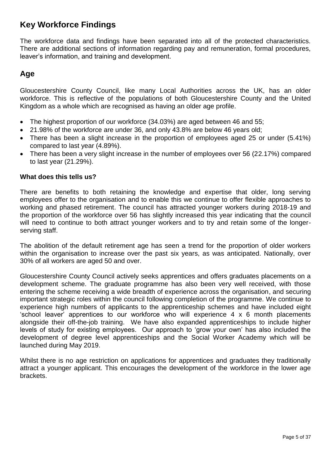# **Key Workforce Findings**

The workforce data and findings have been separated into all of the protected characteristics. There are additional sections of information regarding pay and remuneration, formal procedures, leaver's information, and training and development.

### **Age**

Gloucestershire County Council, like many Local Authorities across the UK, has an older workforce. This is reflective of the populations of both Gloucestershire County and the United Kingdom as a whole which are recognised as having an older age profile.

- The highest proportion of our workforce (34.03%) are aged between 46 and 55;
- 21.98% of the workforce are under 36, and only 43.8% are below 46 years old;
- There has been a slight increase in the proportion of employees aged 25 or under (5.41%) compared to last year (4.89%).
- There has been a very slight increase in the number of employees over 56 (22.17%) compared to last year (21.29%).

#### **What does this tells us?**

There are benefits to both retaining the knowledge and expertise that older, long serving employees offer to the organisation and to enable this we continue to offer flexible approaches to working and phased retirement. The council has attracted younger workers during 2018-19 and the proportion of the workforce over 56 has slightly increased this year indicating that the council will need to continue to both attract younger workers and to try and retain some of the longerserving staff.

The abolition of the default retirement age has seen a trend for the proportion of older workers within the organisation to increase over the past six years, as was anticipated. Nationally, over 30% of all workers are aged 50 and over.

Gloucestershire County Council actively seeks apprentices and offers graduates placements on a development scheme. The graduate programme has also been very well received, with those entering the scheme receiving a wide breadth of experience across the organisation, and securing important strategic roles within the council following completion of the programme. We continue to experience high numbers of applicants to the apprenticeship schemes and have included eight 'school leaver' apprentices to our workforce who will experience 4 x 6 month placements alongside their off-the-job training. We have also expanded apprenticeships to include higher levels of study for existing employees. Our approach to 'grow your own' has also included the development of degree level apprenticeships and the Social Worker Academy which will be launched during May 2019.

Whilst there is no age restriction on applications for apprentices and graduates they traditionally attract a younger applicant. This encourages the development of the workforce in the lower age brackets.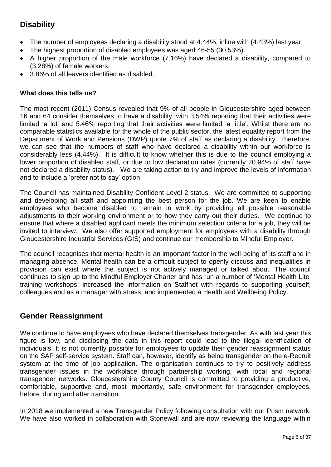# **Disability**

- The number of employees declaring a disability stood at 4.44%, inline with (4.43%) last year.
- The highest proportion of disabled employees was aged 46-55 (30.53%).
- A higher proportion of the male workforce (7.16%) have declared a disability, compared to (3.28%) of female workers.
- 3.86% of all leavers identified as disabled.

#### **What does this tells us?**

The most recent (2011) Census revealed that 9% of all people in Gloucestershire aged between 16 and 64 consider themselves to have a disability, with 3.54% reporting that their activities were limited 'a lot' and 5.46% reporting that their activities were limited 'a little'. Whilst there are no comparable statistics available for the whole of the public sector, the latest equality report from the Department of Work and Pensions (DWP) quote 7% of staff as declaring a disability. Therefore, we can see that the numbers of staff who have declared a disability within our workforce is considerably less (4.44%). It is difficult to know whether this is due to the council employing a lower proportion of disabled staff, or due to low declaration rates (currently 20.94% of staff have not declared a disability status). We are taking action to try and improve the levels of information and to include a 'prefer not to say' option.

The Council has maintained Disability Confident Level 2 status. We are committed to supporting and developing all staff and appointing the best person for the job. We are keen to enable employees who become disabled to remain in work by providing all possible reasonable adjustments to their working environment or to how they carry out their duties. We continue to ensure that where a disabled applicant meets the minimum selection criteria for a job, they will be invited to interview. We also offer supported employment for employees with a disability through Gloucestershire Industrial Services (GIS) and continue our membership to Mindful Employer.

The council recognises that mental health is an important factor in the well-being of its staff and in managing absence. Mental health can be a difficult subject to openly discuss and inequalities in provision can exist where the subject is not actively managed or talked about. The council continues to sign up to the Mindful Employer Charter and has run a number of 'Mental Health Lite' training workshops; increased the information on Staffnet with regards to supporting yourself, colleagues and as a manager with stress; and implemented a Health and Wellbeing Policy.

### **Gender Reassignment**

We continue to have employees who have declared themselves transgender. As with last year this figure is low, and disclosing the data in this report could lead to the illegal identification of individuals. It is not currently possible for employees to update their gender reassignment status on the SAP self-service system. Staff can, however, identify as being transgender on the e-Recruit system at the time of job application. The organisation continues to try to positively address transgender issues in the workplace through partnership working, with local and regional transgender networks. Gloucestershire County Council is committed to providing a productive, comfortable, supportive and, most importantly, safe environment for transgender employees, before, during and after transition.

In 2018 we implemented a new Transgender Policy following consultation with our Prism network. We have also worked in collaboration with Stonewall and are now reviewing the language within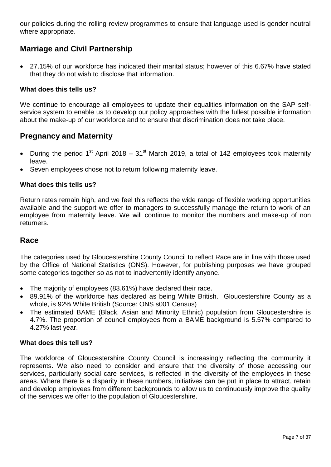our policies during the rolling review programmes to ensure that language used is gender neutral where appropriate.

### **Marriage and Civil Partnership**

 27.15% of our workforce has indicated their marital status; however of this 6.67% have stated that they do not wish to disclose that information.

#### **What does this tells us?**

We continue to encourage all employees to update their equalities information on the SAP selfservice system to enable us to develop our policy approaches with the fullest possible information about the make-up of our workforce and to ensure that discrimination does not take place.

### **Pregnancy and Maternity**

- During the period 1<sup>st</sup> April 2018 31<sup>st</sup> March 2019, a total of 142 employees took maternity leave.
- Seven employees chose not to return following maternity leave.

#### **What does this tells us?**

Return rates remain high, and we feel this reflects the wide range of flexible working opportunities available and the support we offer to managers to successfully manage the return to work of an employee from maternity leave. We will continue to monitor the numbers and make-up of non returners.

#### **Race**

The categories used by Gloucestershire County Council to reflect Race are in line with those used by the Office of National Statistics (ONS). However, for publishing purposes we have grouped some categories together so as not to inadvertently identify anyone.

- The majority of employees (83.61%) have declared their race.
- 89.91% of the workforce has declared as being White British. Gloucestershire County as a whole, is 92% White British (Source: ONS s001 Census)
- The estimated BAME (Black, Asian and Minority Ethnic) population from Gloucestershire is 4.7%. The proportion of council employees from a BAME background is 5.57% compared to 4.27% last year.

#### **What does this tell us?**

The workforce of Gloucestershire County Council is increasingly reflecting the community it represents. We also need to consider and ensure that the diversity of those accessing our services, particularly social care services, is reflected in the diversity of the employees in these areas. Where there is a disparity in these numbers, initiatives can be put in place to attract, retain and develop employees from different backgrounds to allow us to continuously improve the quality of the services we offer to the population of Gloucestershire.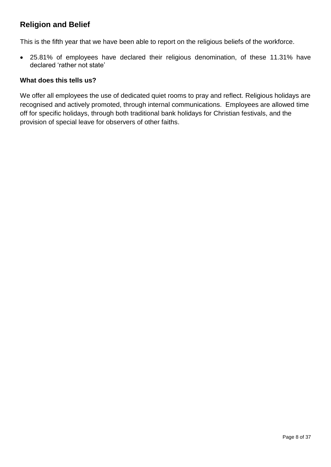## **Religion and Belief**

This is the fifth year that we have been able to report on the religious beliefs of the workforce.

 25.81% of employees have declared their religious denomination, of these 11.31% have declared 'rather not state'

#### **What does this tells us?**

We offer all employees the use of dedicated quiet rooms to pray and reflect. Religious holidays are recognised and actively promoted, through internal communications. Employees are allowed time off for specific holidays, through both traditional bank holidays for Christian festivals, and the provision of special leave for observers of other faiths.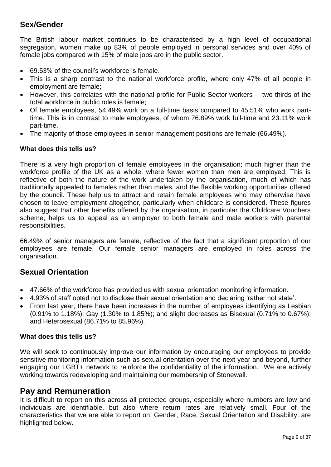### **Sex/Gender**

The British labour market continues to be characterised by a high level of occupational segregation, women make up 83% of people employed in personal services and over 40% of female jobs compared with 15% of male jobs are in the public sector.

- 69.53% of the council's workforce is female.
- This is a sharp contrast to the national workforce profile, where only 47% of all people in employment are female;
- However, this correlates with the national profile for Public Sector workers two thirds of the total workforce in public roles is female;
- Of female employees, 54.49% work on a full-time basis compared to 45.51% who work parttime. This is in contrast to male employees, of whom 76.89% work full-time and 23.11% work part-time.
- The majority of those employees in senior management positions are female (66.49%).

#### **What does this tells us?**

There is a very high proportion of female employees in the organisation; much higher than the workforce profile of the UK as a whole, where fewer women than men are employed. This is reflective of both the nature of the work undertaken by the organisation, much of which has traditionally appealed to females rather than males, and the flexible working opportunities offered by the council. These help us to attract and retain female employees who may otherwise have chosen to leave employment altogether, particularly when childcare is considered. These figures also suggest that other benefits offered by the organisation, in particular the Childcare Vouchers scheme, helps us to appeal as an employer to both female and male workers with parental responsibilities.

66.49% of senior managers are female, reflective of the fact that a significant proportion of our employees are female. Our female senior managers are employed in roles across the organisation.

#### **Sexual Orientation**

- 47.66% of the workforce has provided us with sexual orientation monitoring information.
- 4.93% of staff opted not to disclose their sexual orientation and declaring 'rather not state'.
- From last year, there have been increases in the number of employees identifying as Lesbian (0.91% to 1.18%); Gay (1.30% to 1.85%); and slight decreases as Bisexual (0.71% to 0.67%); and Heterosexual (86.71% to 85.96%).

#### **What does this tells us?**

We will seek to continuously improve our information by encouraging our employees to provide sensitive monitoring information such as sexual orientation over the next year and beyond, further engaging our LGBT+ network to reinforce the confidentiality of the information. We are actively working towards redeveloping and maintaining our membership of Stonewall.

#### **Pay and Remuneration**

It is difficult to report on this across all protected groups, especially where numbers are low and individuals are identifiable, but also where return rates are relatively small. Four of the characteristics that we are able to report on, Gender, Race, Sexual Orientation and Disability, are highlighted below.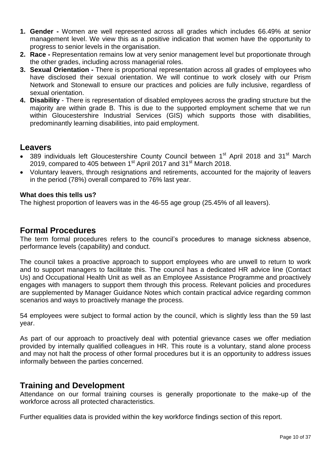- **1. Gender -** Women are well represented across all grades which includes 66.49% at senior management level. We view this as a positive indication that women have the opportunity to progress to senior levels in the organisation.
- **2. Race -** Representation remains low at very senior management level but proportionate through the other grades, including across managerial roles.
- **3. Sexual Orientation -** There is proportional representation across all grades of employees who have disclosed their sexual orientation. We will continue to work closely with our Prism Network and Stonewall to ensure our practices and policies are fully inclusive, regardless of sexual orientation.
- **4. Disability**  There is representation of disabled employees across the grading structure but the majority are within grade B. This is due to the supported employment scheme that we run within Gloucestershire Industrial Services (GIS) which supports those with disabilities, predominantly learning disabilities, into paid employment.

#### **Leavers**

- 389 individuals left Gloucestershire County Council between 1<sup>st</sup> April 2018 and 31<sup>st</sup> March 2019, compared to 405 between  $1<sup>st</sup>$  April 2017 and 31 $<sup>st</sup>$  March 2018.</sup>
- Voluntary leavers, through resignations and retirements, accounted for the majority of leavers in the period (78%) overall compared to 76% last year.

#### **What does this tells us?**

The highest proportion of leavers was in the 46-55 age group (25.45% of all leavers).

### **Formal Procedures**

The term formal procedures refers to the council's procedures to manage sickness absence, performance levels (capability) and conduct.

The council takes a proactive approach to support employees who are unwell to return to work and to support managers to facilitate this. The council has a dedicated HR advice line (Contact Us) and Occupational Health Unit as well as an Employee Assistance Programme and proactively engages with managers to support them through this process. Relevant policies and procedures are supplemented by Manager Guidance Notes which contain practical advice regarding common scenarios and ways to proactively manage the process.

54 employees were subject to formal action by the council, which is slightly less than the 59 last year.

As part of our approach to proactively deal with potential grievance cases we offer mediation provided by internally qualified colleagues in HR. This route is a voluntary, stand alone process and may not halt the process of other formal procedures but it is an opportunity to address issues informally between the parties concerned.

### **Training and Development**

Attendance on our formal training courses is generally proportionate to the make-up of the workforce across all protected characteristics.

Further equalities data is provided within the key workforce findings section of this report.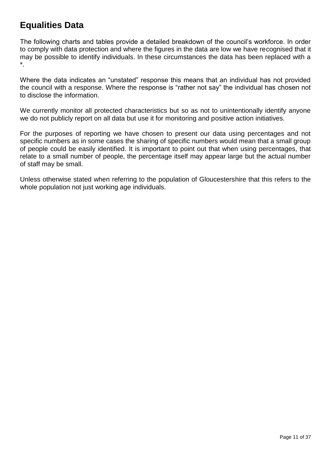# **Equalities Data**

The following charts and tables provide a detailed breakdown of the council's workforce. In order to comply with data protection and where the figures in the data are low we have recognised that it may be possible to identify individuals. In these circumstances the data has been replaced with a \*.

Where the data indicates an "unstated" response this means that an individual has not provided the council with a response. Where the response is "rather not say" the individual has chosen not to disclose the information.

We currently monitor all protected characteristics but so as not to unintentionally identify anyone we do not publicly report on all data but use it for monitoring and positive action initiatives.

For the purposes of reporting we have chosen to present our data using percentages and not specific numbers as in some cases the sharing of specific numbers would mean that a small group of people could be easily identified. It is important to point out that when using percentages, that relate to a small number of people, the percentage itself may appear large but the actual number of staff may be small.

Unless otherwise stated when referring to the population of Gloucestershire that this refers to the whole population not just working age individuals.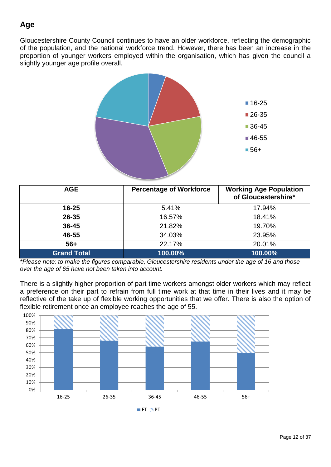# **Age**

Gloucestershire County Council continues to have an older workforce, reflecting the demographic of the population, and the national workforce trend. However, there has been an increase in the proportion of younger workers employed within the organisation, which has given the council a slightly younger age profile overall.



| <b>AGE</b>         | <b>Percentage of Workforce</b> | <b>Working Age Population</b><br>of Gloucestershire* |
|--------------------|--------------------------------|------------------------------------------------------|
| $16 - 25$          | 5.41%                          | 17.94%                                               |
| 26-35              | 16.57%                         | 18.41%                                               |
| $36 - 45$          | 21.82%                         | 19.70%                                               |
| 46-55              | 34.03%                         | 23.95%                                               |
| $56+$              | 22.17%                         | 20.01%                                               |
| <b>Grand Total</b> | 100.00%                        | 100.00%                                              |

*\*Please note: to make the figures comparable, Gloucestershire residents under the age of 16 and those over the age of 65 have not been taken into account.*

There is a slightly higher proportion of part time workers amongst older workers which may reflect a preference on their part to refrain from full time work at that time in their lives and it may be reflective of the take up of flexible working opportunities that we offer. There is also the option of flexible retirement once an employee reaches the age of 55.



 $I$ FT  $N$ PT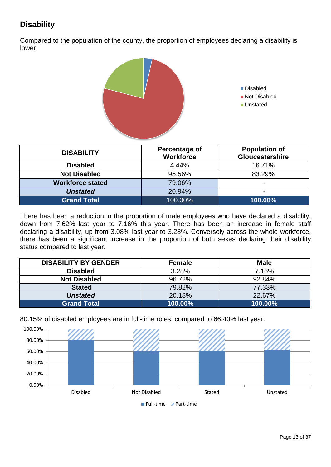# **Disability**

Compared to the population of the county, the proportion of employees declaring a disability is lower.



| <b>DISABILITY</b>       | Percentage of<br><b>Workforce</b> | <b>Population of</b><br>Gloucestershire |
|-------------------------|-----------------------------------|-----------------------------------------|
| <b>Disabled</b>         | 4.44%                             | 16.71%                                  |
| <b>Not Disabled</b>     | 95.56%                            | 83.29%                                  |
| <b>Workforce stated</b> | 79.06%                            | $\overline{\phantom{0}}$                |
| <b>Unstated</b>         | 20.94%                            | $\overline{\phantom{a}}$                |
| <b>Grand Total</b>      | 100.00%                           | 100.00%                                 |

There has been a reduction in the proportion of male employees who have declared a disability, down from 7.62% last year to 7.16% this year. There has been an increase in female staff declaring a disability, up from 3.08% last year to 3.28%. Conversely across the whole workforce, there has been a significant increase in the proportion of both sexes declaring their disability status compared to last year.

| <b>DISABILITY BY GENDER</b> | <b>Female</b> | <b>Male</b> |
|-----------------------------|---------------|-------------|
| <b>Disabled</b>             | 3.28%         | 7.16%       |
| <b>Not Disabled</b>         | 96.72%        | 92.84%      |
| <b>Stated</b>               | 79.82%        | 77.33%      |
| <b>Unstated</b>             | 20.18%        | 22.67%      |
| <b>Grand Total</b>          | 100.00%       | 100.00%     |





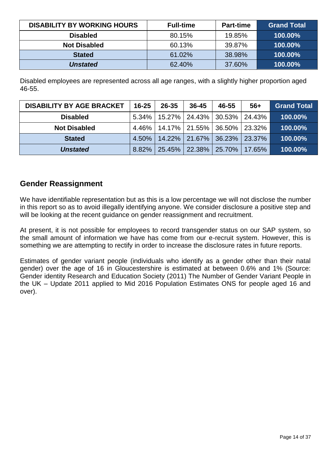| <b>DISABILITY BY WORKING HOURS</b> | <b>Full-time</b> | <b>Part-time</b> | <b>Grand Total</b> |
|------------------------------------|------------------|------------------|--------------------|
| <b>Disabled</b>                    | 80.15%           | 19.85%           | 100.00%            |
| <b>Not Disabled</b>                | 60.13%           | 39.87%           | 100.00%            |
| <b>Stated</b>                      | 61.02%           | 38.98%           | 100.00%            |
| <b>Unstated</b>                    | 62.40%           | 37.60%           | 100.00%            |

Disabled employees are represented across all age ranges, with a slightly higher proportion aged 46-55.

| <b>DISABILITY BY AGE BRACKET</b> | $16 - 25$ | 26-35 | $36 - 45$                         | 46-55 | $56+$  | <b>Grand Total</b> |
|----------------------------------|-----------|-------|-----------------------------------|-------|--------|--------------------|
| <b>Disabled</b>                  | $5.34\%$  |       | 15.27% 24.43% 30.53% 24.43%       |       |        | 100.00%            |
| <b>Not Disabled</b>              |           |       | 4.46%   14.17%   21.55%   36.50%  |       | 23.32% | 100.00%            |
| <b>Stated</b>                    | $4.50\%$  |       | 14.22% 21.67% 36.23%              |       | 23.37% | 100.00%            |
| <b>Unstated</b>                  |           |       | 8.82% 25.45% 22.38% 25.70% 17.65% |       |        | 100.00%            |

### **Gender Reassignment**

We have identifiable representation but as this is a low percentage we will not disclose the number in this report so as to avoid illegally identifying anyone. We consider disclosure a positive step and will be looking at the recent guidance on gender reassignment and recruitment.

At present, it is not possible for employees to record transgender status on our SAP system, so the small amount of information we have has come from our e-recruit system. However, this is something we are attempting to rectify in order to increase the disclosure rates in future reports.

Estimates of gender variant people (individuals who identify as a gender other than their natal gender) over the age of 16 in Gloucestershire is estimated at between 0.6% and 1% (Source: Gender identity Research and Education Society (2011) The Number of Gender Variant People in the UK – Update 2011 applied to Mid 2016 Population Estimates ONS for people aged 16 and over).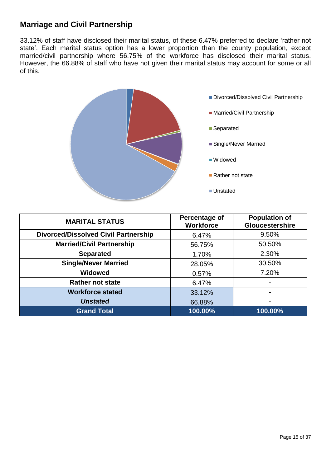### **Marriage and Civil Partnership**

33.12% of staff have disclosed their marital status, of these 6.47% preferred to declare 'rather not state'. Each marital status option has a lower proportion than the county population, except married/civil partnership where 56.75% of the workforce has disclosed their marital status. However, the 66.88% of staff who have not given their marital status may account for some or all of this.



| <b>MARITAL STATUS</b>                       | Percentage of<br><b>Workforce</b> | <b>Population of</b><br><b>Gloucestershire</b> |
|---------------------------------------------|-----------------------------------|------------------------------------------------|
| <b>Divorced/Dissolved Civil Partnership</b> | 6.47%                             | 9.50%                                          |
| <b>Married/Civil Partnership</b>            | 56.75%                            | 50.50%                                         |
| <b>Separated</b>                            | 1.70%                             | 2.30%                                          |
| <b>Single/Never Married</b>                 | 28.05%                            | 30.50%                                         |
| <b>Widowed</b>                              | 0.57%                             | 7.20%                                          |
| <b>Rather not state</b>                     | 6.47%                             |                                                |
| <b>Workforce stated</b>                     | 33.12%                            |                                                |
| <b>Unstated</b>                             | 66.88%                            | -                                              |
| <b>Grand Total</b>                          | 100.00%                           | 100.00%                                        |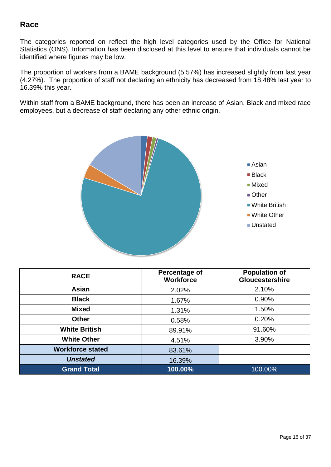### **Race**

The categories reported on reflect the high level categories used by the Office for National Statistics (ONS). Information has been disclosed at this level to ensure that individuals cannot be identified where figures may be low.

The proportion of workers from a BAME background (5.57%) has increased slightly from last year (4.27%). The proportion of staff not declaring an ethnicity has decreased from 18.48% last year to 16.39% this year.

Within staff from a BAME background, there has been an increase of Asian, Black and mixed race employees, but a decrease of staff declaring any other ethnic origin.



| <b>RACE</b>             | Percentage of<br><b>Workforce</b> | <b>Population of</b><br>Gloucestershire |
|-------------------------|-----------------------------------|-----------------------------------------|
| Asian                   | 2.02%                             | 2.10%                                   |
| <b>Black</b>            | 1.67%                             | 0.90%                                   |
| <b>Mixed</b>            | 1.31%                             | 1.50%                                   |
| <b>Other</b>            | 0.58%                             | 0.20%                                   |
| <b>White British</b>    | 89.91%                            | 91.60%                                  |
| <b>White Other</b>      | 4.51%                             | 3.90%                                   |
| <b>Workforce stated</b> | 83.61%                            |                                         |
| <b>Unstated</b>         | 16.39%                            |                                         |
| <b>Grand Total</b>      | 100.00%                           | $100.00\%$                              |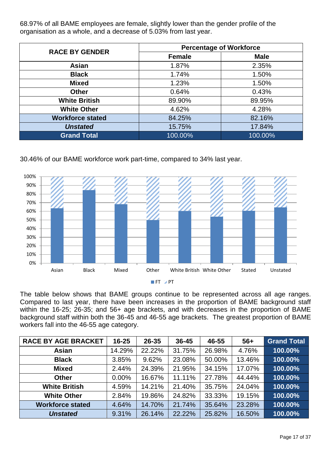68.97% of all BAME employees are female, slightly lower than the gender profile of the organisation as a whole, and a decrease of 5.03% from last year.

| <b>RACE BY GENDER</b>   | <b>Percentage of Workforce</b> |             |  |  |
|-------------------------|--------------------------------|-------------|--|--|
|                         | <b>Female</b>                  | <b>Male</b> |  |  |
| <b>Asian</b>            | 1.87%                          | 2.35%       |  |  |
| <b>Black</b>            | 1.74%                          | 1.50%       |  |  |
| <b>Mixed</b>            | 1.23%                          | 1.50%       |  |  |
| <b>Other</b>            | 0.64%                          | 0.43%       |  |  |
| <b>White British</b>    | 89.90%                         | 89.95%      |  |  |
| <b>White Other</b>      | 4.62%                          | 4.28%       |  |  |
| <b>Workforce stated</b> | 84.25%                         | 82.16%      |  |  |
| <b>Unstated</b>         | 15.75%                         | 17.84%      |  |  |
| <b>Grand Total</b>      | 100.00%                        | 100.00%     |  |  |

30.46% of our BAME workforce work part-time, compared to 34% last year.



The table below shows that BAME groups continue to be represented across all age ranges. Compared to last year, there have been increases in the proportion of BAME background staff within the 16-25; 26-35; and 56+ age brackets, and with decreases in the proportion of BAME background staff within both the 36-45 and 46-55 age brackets. The greatest proportion of BAME workers fall into the 46-55 age category.

| <b>RACE BY AGE BRACKET</b> | $16 - 25$ | 26-35  | 36-45  | 46-55  | $56+$  | <b>Grand Total</b> |
|----------------------------|-----------|--------|--------|--------|--------|--------------------|
| Asian                      | 14.29%    | 22.22% | 31.75% | 26.98% | 4.76%  | 100.00%            |
| <b>Black</b>               | 3.85%     | 9.62%  | 23.08% | 50.00% | 13.46% | 100.00%            |
| <b>Mixed</b>               | 2.44%     | 24.39% | 21.95% | 34.15% | 17.07% | 100.00%            |
| <b>Other</b>               | 0.00%     | 16.67% | 11.11% | 27.78% | 44.44% | 100.00%            |
| <b>White British</b>       | 4.59%     | 14.21% | 21.40% | 35.75% | 24.04% | 100.00%            |
| <b>White Other</b>         | 2.84%     | 19.86% | 24.82% | 33.33% | 19.15% | 100.00%            |
| <b>Workforce stated</b>    | 4.64%     | 14.70% | 21.74% | 35.64% | 23.28% | 100.00%            |
| <b>Unstated</b>            | 9.31%     | 26.14% | 22.22% | 25.82% | 16.50% | 100.00%            |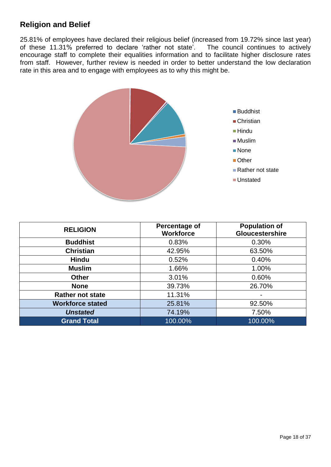## **Religion and Belief**

25.81% of employees have declared their religious belief (increased from 19.72% since last year) of these 11.31% preferred to declare 'rather not state'. The council continues to actively encourage staff to complete their equalities information and to facilitate higher disclosure rates from staff. However, further review is needed in order to better understand the low declaration rate in this area and to engage with employees as to why this might be.



| <b>RELIGION</b>         | Percentage of<br><b>Workforce</b> | <b>Population of</b><br><b>Gloucestershire</b> |
|-------------------------|-----------------------------------|------------------------------------------------|
| <b>Buddhist</b>         | 0.83%                             | 0.30%                                          |
| <b>Christian</b>        | 42.95%                            | 63.50%                                         |
| <b>Hindu</b>            | 0.52%                             | 0.40%                                          |
| <b>Muslim</b>           | 1.66%                             | 1.00%                                          |
| <b>Other</b>            | 3.01%                             | 0.60%                                          |
| <b>None</b>             | 39.73%                            | 26.70%                                         |
| <b>Rather not state</b> | 11.31%                            |                                                |
| <b>Workforce stated</b> | 25.81%                            | 92.50%                                         |
| <b>Unstated</b>         | 74.19%                            | 7.50%                                          |
| <b>Grand Total</b>      | 100.00%                           | 100.00%                                        |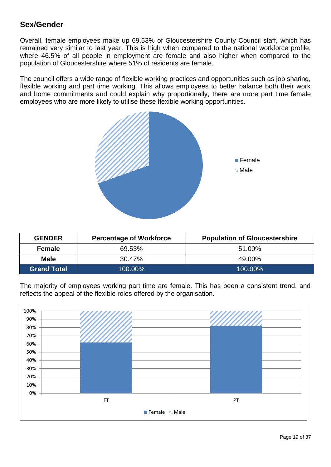### **Sex/Gender**

Overall, female employees make up 69.53% of Gloucestershire County Council staff, which has remained very similar to last year. This is high when compared to the national workforce profile, where 46.5% of all people in employment are female and also higher when compared to the population of Gloucestershire where 51% of residents are female.

The council offers a wide range of flexible working practices and opportunities such as job sharing, flexible working and part time working. This allows employees to better balance both their work and home commitments and could explain why proportionally, there are more part time female employees who are more likely to utilise these flexible working opportunities.



| <b>GENDER</b>      | <b>Percentage of Workforce</b> | <b>Population of Gloucestershire</b> |
|--------------------|--------------------------------|--------------------------------------|
| <b>Female</b>      | 69.53%                         | 51.00%                               |
| <b>Male</b>        | 30.47%                         | 49.00%                               |
| <b>Grand Total</b> | 100.00%                        | 100.00%                              |

The majority of employees working part time are female. This has been a consistent trend, and reflects the appeal of the flexible roles offered by the organisation.

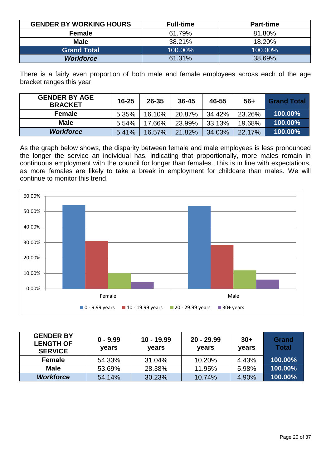| <b>GENDER BY WORKING HOURS</b> | <b>Full-time</b> | <b>Part-time</b> |
|--------------------------------|------------------|------------------|
| <b>Female</b>                  | 61.79%           | 81.80%           |
| <b>Male</b>                    | 38.21%           | 18.20%           |
| <b>Grand Total</b>             | 100.00%          | 100.00%          |
| <b>Workforce</b>               | 61.31%           | 38.69%           |

There is a fairly even proportion of both male and female employees across each of the age bracket ranges this year.

| <b>GENDER BY AGE</b><br><b>BRACKET</b> | $16 - 25$ | $26 - 35$ | $36 - 45$ | 46-55  | $56+$  | <b>Grand Total</b> |
|----------------------------------------|-----------|-----------|-----------|--------|--------|--------------------|
| <b>Female</b>                          | 5.35%     | 16.10%    | 20.87%    | 34.42% | 23.26% | 100.00%            |
| <b>Male</b>                            | 5.54%     | 17.66%    | 23.99%    | 33.13% | 19.68% | 100.00%            |
| <b>Workforce</b>                       | 5.41%     | 16.57%    | 21.82%    | 34.03% | 22.17% | 100.00%            |

As the graph below shows, the disparity between female and male employees is less pronounced the longer the service an individual has, indicating that proportionally, more males remain in continuous employment with the council for longer than females. This is in line with expectations, as more females are likely to take a break in employment for childcare than males. We will continue to monitor this trend.



| <b>GENDER BY</b><br><b>LENGTH OF</b><br><b>SERVICE</b> | $0 - 9.99$<br>years | $10 - 19.99$<br>years | $20 - 29.99$<br><b>vears</b> | $30+$<br>years | <b>Grand</b><br>Total |
|--------------------------------------------------------|---------------------|-----------------------|------------------------------|----------------|-----------------------|
| Female                                                 | 54.33%              | 31.04%                | 10.20%                       | 4.43%          | 100.00%               |
| <b>Male</b>                                            | 53.69%              | 28.38%                | 11.95%                       | 5.98%          | 100.00%               |
| <b>Workforce</b>                                       | 54.14%              | 30.23%                | 10.74%                       | 4.90%          | 100.00%               |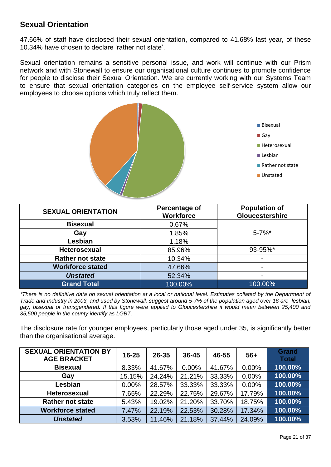### **Sexual Orientation**

47.66% of staff have disclosed their sexual orientation, compared to 41.68% last year, of these 10.34% have chosen to declare 'rather not state'.

Sexual orientation remains a sensitive personal issue, and work will continue with our Prism network and with Stonewall to ensure our organisational culture continues to promote confidence for people to disclose their Sexual Orientation. We are currently working with our Systems Team to ensure that sexual orientation categories on the employee self-service system allow our employees to choose options which truly reflect them.



| <b>SEXUAL ORIENTATION</b> | Percentage of<br><b>Workforce</b> | <b>Population of</b><br>Gloucestershire |
|---------------------------|-----------------------------------|-----------------------------------------|
| <b>Bisexual</b>           | 0.67%                             |                                         |
| Gay                       | 1.85%                             | $5 - 7%$ *                              |
| Lesbian                   | 1.18%                             |                                         |
| <b>Heterosexual</b>       | 85.96%                            | 93-95%*                                 |
| <b>Rather not state</b>   | 10.34%                            |                                         |
| <b>Workforce stated</b>   | 47.66%                            | $\overline{\phantom{0}}$                |
| <b>Unstated</b>           | 52.34%                            | ۰                                       |
| <b>Grand Total</b>        | 100.00%                           | 100.00%                                 |

*\*There is no definitive data on sexual orientation at a local or national level. Estimates collated by the Department of Trade and Industry in 2003, and used by Stonewall, suggest around 5-7% of the population aged over 16 are lesbian, gay, bisexual or transgendered. If this figure were applied to Gloucestershire it would mean between 25,400 and 35,500 people in the county identify as LGBT.* 

The disclosure rate for younger employees, particularly those aged under 35, is significantly better than the organisational average.

| <b>SEXUAL ORIENTATION BY</b><br><b>AGE BRACKET</b> | $16 - 25$ | $26 - 35$ | $36 - 45$ | 46-55  | $56+$  | <b>Grand</b><br><b>Total</b> |
|----------------------------------------------------|-----------|-----------|-----------|--------|--------|------------------------------|
| <b>Bisexual</b>                                    | 8.33%     | 41.67%    | 0.00%     | 41.67% | 0.00%  | 100.00%                      |
| Gay                                                | 15.15%    | 24.24%    | 21.21%    | 33.33% | 0.00%  | 100.00%                      |
| Lesbian                                            | 0.00%     | 28.57%    | 33.33%    | 33.33% | 0.00%  | 100.00%                      |
| <b>Heterosexual</b>                                | 7.65%     | 22.29%    | 22.75%    | 29.67% | 17.79% | 100.00%                      |
| <b>Rather not state</b>                            | 5.43%     | 19.02%    | 21.20%    | 33.70% | 18.75% | 100.00%                      |
| <b>Workforce stated</b>                            | 7.47%     | 22.19%    | 22.53%    | 30.28% | 17.34% | 100.00%                      |
| <b>Unstated</b>                                    | 3.53%     | 11.46%    | 21.18%    | 37.44% | 24.09% | 100.00%                      |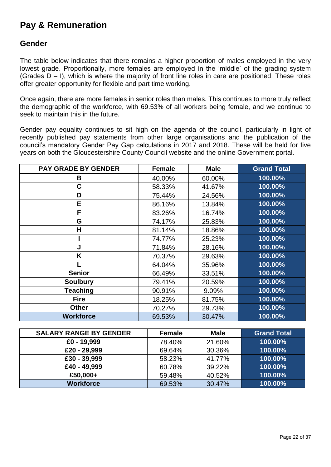# **Pay & Remuneration**

### **Gender**

The table below indicates that there remains a higher proportion of males employed in the very lowest grade. Proportionally, more females are employed in the 'middle' of the grading system (Grades  $D - I$ ), which is where the majority of front line roles in care are positioned. These roles offer greater opportunity for flexible and part time working.

Once again, there are more females in senior roles than males. This continues to more truly reflect the demographic of the workforce, with 69.53% of all workers being female, and we continue to seek to maintain this in the future.

Gender pay equality continues to sit high on the agenda of the council, particularly in light of recently published pay statements from other large organisations and the publication of the council's mandatory Gender Pay Gap calculations in 2017 and 2018. These will be held for five years on both the Gloucestershire County Council website and the online Government portal.

| <b>PAY GRADE BY GENDER</b> | <b>Female</b> | <b>Male</b> | <b>Grand Total</b> |
|----------------------------|---------------|-------------|--------------------|
| В                          | 40.00%        | 60.00%      | 100.00%            |
| C                          | 58.33%        | 41.67%      | 100.00%            |
| D                          | 75.44%        | 24.56%      | 100.00%            |
| E                          | 86.16%        | 13.84%      | 100.00%            |
| F                          | 83.26%        | 16.74%      | 100.00%            |
| G                          | 74.17%        | 25.83%      | 100.00%            |
| Н                          | 81.14%        | 18.86%      | 100.00%            |
|                            | 74.77%        | 25.23%      | 100.00%            |
| J                          | 71.84%        | 28.16%      | 100.00%            |
| Κ                          | 70.37%        | 29.63%      | 100.00%            |
|                            | 64.04%        | 35.96%      | 100.00%            |
| <b>Senior</b>              | 66.49%        | 33.51%      | 100.00%            |
| <b>Soulbury</b>            | 79.41%        | 20.59%      | 100.00%            |
| <b>Teaching</b>            | 90.91%        | 9.09%       | 100.00%            |
| <b>Fire</b>                | 18.25%        | 81.75%      | 100.00%            |
| <b>Other</b>               | 70.27%        | 29.73%      | 100.00%            |
| <b>Workforce</b>           | 69.53%        | 30.47%      | 100.00%            |

| <b>SALARY RANGE BY GENDER</b> | <b>Female</b> | <b>Male</b> | <b>Grand Total</b> |
|-------------------------------|---------------|-------------|--------------------|
| £0 - 19,999                   | 78.40%        | 21.60%      | 100.00%            |
| £20 - 29,999                  | 69.64%        | 30.36%      | 100.00%            |
| £30 - 39,999                  | 58.23%        | 41.77%      | 100.00%            |
| £40 - 49,999                  | 60.78%        | 39.22%      | 100.00%            |
| £50,000+                      | 59.48%        | 40.52%      | 100.00%            |
| <b>Workforce</b>              | 69.53%        | 30.47%      | 100.00%            |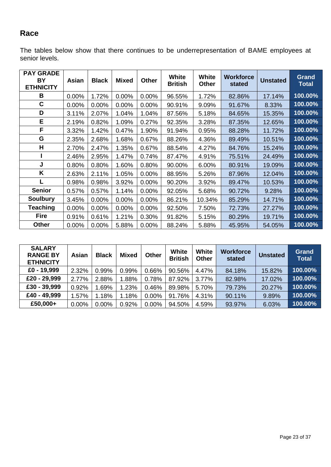# **Race**

The tables below show that there continues to be underrepresentation of BAME employees at senior levels.

| <b>PAY GRADE</b><br><b>BY</b><br><b>ETHNICITY</b> | Asian | <b>Black</b> | <b>Mixed</b> | <b>Other</b> | <b>White</b><br><b>British</b> | <b>White</b><br><b>Other</b> | <b>Workforce</b><br>stated | <b>Unstated</b> | <b>Grand</b><br><b>Total</b> |
|---------------------------------------------------|-------|--------------|--------------|--------------|--------------------------------|------------------------------|----------------------------|-----------------|------------------------------|
| B                                                 | 0.00% | 1.72%        | 0.00%        | $0.00\%$     | 96.55%                         | 1.72%                        | 82.86%                     | 17.14%          | 100.00%                      |
| C                                                 | 0.00% | 0.00%        | 0.00%        | 0.00%        | 90.91%                         | 9.09%                        | 91.67%                     | 8.33%           | 100.00%                      |
| D                                                 | 3.11% | 2.07%        | 1.04%        | 1.04%        | 87.56%                         | 5.18%                        | 84.65%                     | 15.35%          | 100.00%                      |
| E                                                 | 2.19% | 0.82%        | 1.09%        | 0.27%        | 92.35%                         | 3.28%                        | 87.35%                     | 12.65%          | 100.00%                      |
| F                                                 | 3.32% | 1.42%        | 0.47%        | 1.90%        | 91.94%                         | 0.95%                        | 88.28%                     | 11.72%          | 100.00%                      |
| G                                                 | 2.35% | 2.68%        | 1.68%        | 0.67%        | 88.26%                         | 4.36%                        | 89.49%                     | 10.51%          | 100.00%                      |
| H                                                 | 2.70% | 2.47%        | 1.35%        | 0.67%        | 88.54%                         | 4.27%                        | 84.76%                     | 15.24%          | 100.00%                      |
|                                                   | 2.46% | 2.95%        | 1.47%        | 0.74%        | 87.47%                         | 4.91%                        | 75.51%                     | 24.49%          | 100.00%                      |
| J                                                 | 0.80% | 0.80%        | 1.60%        | 0.80%        | 90.00%                         | 6.00%                        | 80.91%                     | 19.09%          | 100.00%                      |
| K                                                 | 2.63% | 2.11%        | 1.05%        | 0.00%        | 88.95%                         | 5.26%                        | 87.96%                     | 12.04%          | 100.00%                      |
| L                                                 | 0.98% | 0.98%        | 3.92%        | 0.00%        | 90.20%                         | 3.92%                        | 89.47%                     | 10.53%          | 100.00%                      |
| <b>Senior</b>                                     | 0.57% | 0.57%        | 1.14%        | $0.00\%$     | 92.05%                         | 5.68%                        | 90.72%                     | 9.28%           | 100.00%                      |
| <b>Soulbury</b>                                   | 3.45% | 0.00%        | 0.00%        | 0.00%        | 86.21%                         | 10.34%                       | 85.29%                     | 14.71%          | 100.00%                      |
| Teaching                                          | 0.00% | $0.00\%$     | 0.00%        | 0.00%        | 92.50%                         | 7.50%                        | 72.73%                     | 27.27%          | 100.00%                      |
| <b>Fire</b>                                       | 0.91% | 0.61%        | 1.21%        | 0.30%        | 91.82%                         | 5.15%                        | 80.29%                     | 19.71%          | 100.00%                      |
| Other                                             | 0.00% | 0.00%        | 5.88%        | 0.00%        | 88.24%                         | 5.88%                        | 45.95%                     | 54.05%          | 100.00%                      |

| <b>SALARY</b><br><b>RANGE BY</b><br><b>ETHNICITY</b> | <b>Asian</b> | <b>Black</b> | <b>Mixed</b> | <b>Other</b> | <b>White</b><br><b>British</b> | <b>White</b><br><b>Other</b> | <b>Workforce</b><br>stated | <b>Unstated</b> | <b>Grand</b><br><b>Total</b> |
|------------------------------------------------------|--------------|--------------|--------------|--------------|--------------------------------|------------------------------|----------------------------|-----------------|------------------------------|
| £0 - 19,999                                          | 2.32%        | 0.99%        | 0.99%        | 0.66%        | 90.56%                         | 4.47%                        | 84.18%                     | 15.82%          | 100.00%                      |
| £20 - 29,999                                         | 2.77%        | 2.88%        | 1.88%        | 0.78%        | 87.92%                         | 3.77%                        | 82.98%                     | 17.02%          | 100.00%                      |
| £30 - 39,999                                         | 0.92%        | 1.69%        | 1.23%        | 0.46%        | 89.98%                         | 5.70%                        | 79.73%                     | 20.27%          | 100.00%                      |
| £40 - 49,999                                         | 1.57%        | 1.18%        | 1.18%        | $0.00\%$     | 91.76%                         | 4.31%                        | 90.11%                     | 9.89%           | 100.00%                      |
| £50,000+                                             | 0.00%        | $0.00\%$     | 0.92%        | $0.00\%$     | 94.50%                         | 4.59%                        | 93.97%                     | 6.03%           | $\overline{100.00\%}$        |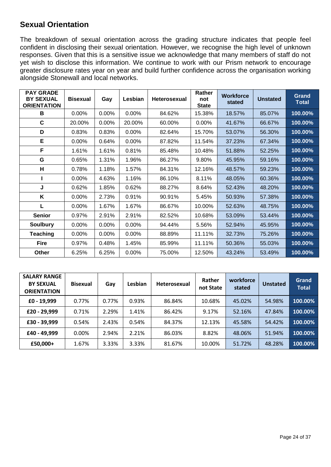### **Sexual Orientation**

The breakdown of sexual orientation across the grading structure indicates that people feel confident in disclosing their sexual orientation. However, we recognise the high level of unknown responses. Given that this is a sensitive issue we acknowledge that many members of staff do not yet wish to disclose this information. We continue to work with our Prism network to encourage greater disclosure rates year on year and build further confidence across the organisation working alongside Stonewall and local networks.

| <b>PAY GRADE</b><br><b>BY SEXUAL</b><br><b>ORIENTATION</b> | <b>Bisexual</b> | Gay   | Lesbian  | <b>Heterosexual</b> | Rather<br>not<br><b>State</b> | <b>Workforce</b><br>stated | <b>Unstated</b> | <b>Grand</b><br><b>Total</b> |
|------------------------------------------------------------|-----------------|-------|----------|---------------------|-------------------------------|----------------------------|-----------------|------------------------------|
| В                                                          | $0.00\%$        | 0.00% | 0.00%    | 84.62%              | 15.38%                        | 18.57%                     | 85.07%          | 100.00%                      |
| C                                                          | 20.00%          | 0.00% | 20.00%   | 60.00%              | $0.00\%$                      | 41.67%                     | 66.67%          | 100.00%                      |
| D                                                          | 0.83%           | 0.83% | $0.00\%$ | 82.64%              | 15.70%                        | 53.07%                     | 56.30%          | $100.00\%$                   |
| Е                                                          | $0.00\%$        | 0.64% | 0.00%    | 87.82%              | 11.54%                        | 37.23%                     | 67.34%          | 100.00%                      |
| F                                                          | 1.61%           | 1.61% | 0.81%    | 85.48%              | 10.48%                        | 51.88%                     | 52.25%          | 100.00%                      |
| G                                                          | 0.65%           | 1.31% | 1.96%    | 86.27%              | 9.80%                         | 45.95%                     | 59.16%          | 100.00%                      |
| н                                                          | 0.78%           | 1.18% | 1.57%    | 84.31%              | 12.16%                        | 48.57%                     | 59.23%          | 100.00%                      |
|                                                            | $0.00\%$        | 4.63% | 1.16%    | 86.10%              | 8.11%                         | 48.05%                     | 60.36%          | 100.00%                      |
| J                                                          | 0.62%           | 1.85% | 0.62%    | 88.27%              | 8.64%                         | 52.43%                     | 48.20%          | 100.00%                      |
| K                                                          | 0.00%           | 2.73% | 0.91%    | 90.91%              | 5.45%                         | 50.93%                     | 57.38%          | 100.00%                      |
| L                                                          | $0.00\%$        | 1.67% | 1.67%    | 86.67%              | 10.00%                        | 52.63%                     | 48.75%          | 100.00%                      |
| <b>Senior</b>                                              | 0.97%           | 2.91% | 2.91%    | 82.52%              | 10.68%                        | 53.09%                     | 53.44%          | 100.00%                      |
| <b>Soulbury</b>                                            | $0.00\%$        | 0.00% | 0.00%    | 94.44%              | 5.56%                         | 52.94%                     | 45.95%          | 100.00%                      |
| <b>Teaching</b>                                            | 0.00%           | 0.00% | 0.00%    | 88.89%              | 11.11%                        | 32.73%                     | 75.26%          | 100.00%                      |
| <b>Fire</b>                                                | 0.97%           | 0.48% | 1.45%    | 85.99%              | 11.11%                        | 50.36%                     | 55.03%          | 100.00%                      |
| Other                                                      | 6.25%           | 6.25% | 0.00%    | 75.00%              | 12.50%                        | 43.24%                     | 53.49%          | 100.00%                      |

| <b>SALARY RANGE</b><br><b>BY SEXUAL</b><br><b>ORIENTATION</b> | <b>Bisexual</b> | Gay   | Lesbian | <b>Heterosexual</b> | Rather<br>not State | workforce<br>stated | <b>Unstated</b> | Grand<br><b>Total</b> |
|---------------------------------------------------------------|-----------------|-------|---------|---------------------|---------------------|---------------------|-----------------|-----------------------|
| £0 - 19,999                                                   | 0.77%           | 0.77% | 0.93%   | 86.84%              | 10.68%              | 45.02%              | 54.98%          | 100.00%               |
| £20 - 29,999                                                  | 0.71%           | 2.29% | 1.41%   | 86.42%              | 9.17%               | 52.16%              | 47.84%          | 100.00%               |
| £30 - 39,999                                                  | 0.54%           | 2.43% | 0.54%   | 84.37%              | 12.13%              | 45.58%              | 54.42%          | 100.00%               |
| £40 - 49,999                                                  | 0.00%           | 2.94% | 2.21%   | 86.03%              | 8.82%               | 48.06%              | 51.94%          | 100.00%               |
| £50,000+                                                      | 1.67%           | 3.33% | 3.33%   | 81.67%              | 10.00%              | 51.72%              | 48.28%          | 100.00%               |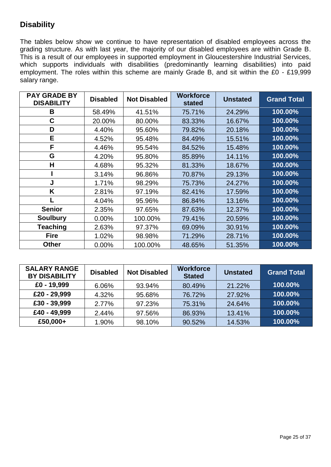# **Disability**

The tables below show we continue to have representation of disabled employees across the grading structure. As with last year, the majority of our disabled employees are within Grade B. This is a result of our employees in supported employment in Gloucestershire Industrial Services, which supports individuals with disabilities (predominantly learning disabilities) into paid employment. The roles within this scheme are mainly Grade B, and sit within the £0 - £19,999 salary range.

| <b>PAY GRADE BY</b><br><b>DISABILITY</b> | <b>Disabled</b> | <b>Not Disabled</b> | <b>Workforce</b><br>stated | <b>Unstated</b> | <b>Grand Total</b> |
|------------------------------------------|-----------------|---------------------|----------------------------|-----------------|--------------------|
| В                                        | 58.49%          | 41.51%              | 75.71%                     | 24.29%          | 100.00%            |
| C                                        | 20.00%          | 80.00%              | 83.33%                     | 16.67%          | 100.00%            |
| D                                        | 4.40%           | 95.60%              | 79.82%                     | 20.18%          | 100.00%            |
| E                                        | 4.52%           | 95.48%              | 84.49%                     | 15.51%          | 100.00%            |
| F                                        | 4.46%           | 95.54%              | 84.52%                     | 15.48%          | 100.00%            |
| G                                        | 4.20%           | 95.80%              | 85.89%                     | 14.11%          | 100.00%            |
| Н                                        | 4.68%           | 95.32%              | 81.33%                     | 18.67%          | 100.00%            |
|                                          | 3.14%           | 96.86%              | 70.87%                     | 29.13%          | 100.00%            |
| J                                        | 1.71%           | 98.29%              | 75.73%                     | 24.27%          | 100.00%            |
| K                                        | 2.81%           | 97.19%              | 82.41%                     | 17.59%          | 100.00%            |
|                                          | 4.04%           | 95.96%              | 86.84%                     | 13.16%          | 100.00%            |
| <b>Senior</b>                            | 2.35%           | 97.65%              | 87.63%                     | 12.37%          | 100.00%            |
| <b>Soulbury</b>                          | 0.00%           | 100.00%             | 79.41%                     | 20.59%          | 100.00%            |
| Teaching                                 | 2.63%           | 97.37%              | 69.09%                     | 30.91%          | 100.00%            |
| <b>Fire</b>                              | 1.02%           | 98.98%              | 71.29%                     | 28.71%          | 100.00%            |
| <b>Other</b>                             | 0.00%           | 100.00%             | 48.65%                     | 51.35%          | 100.00%            |

| <b>SALARY RANGE</b><br><b>BY DISABILITY</b> | <b>Disabled</b> | <b>Not Disabled</b> | <b>Workforce</b><br><b>Stated</b> | <b>Unstated</b> | <b>Grand Total</b> |
|---------------------------------------------|-----------------|---------------------|-----------------------------------|-----------------|--------------------|
| £0 - 19,999                                 | 6.06%           | 93.94%              | 80.49%                            | 21.22%          | 100.00%            |
| £20 - 29,999                                | 4.32%           | 95.68%              | 76.72%                            | 27.92%          | 100.00%            |
| £30 - 39,999                                | 2.77%           | 97.23%              | 75.31%                            | 24.64%          | 100.00%            |
| £40 - 49,999                                | 2.44%           | 97.56%              | 86.93%                            | 13.41%          | 100.00%            |
| £50,000+                                    | 1.90%           | 98.10%              | 90.52%                            | 14.53%          | 100.00%            |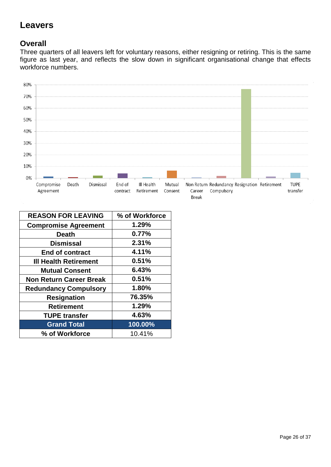# **Leavers**

### **Overall**

Three quarters of all leavers left for voluntary reasons, either resigning or retiring. This is the same figure as last year, and reflects the slow down in significant organisational change that effects workforce numbers.



| <b>REASON FOR LEAVING</b>      | % of Workforce |
|--------------------------------|----------------|
| <b>Compromise Agreement</b>    | 1.29%          |
| <b>Death</b>                   | 0.77%          |
| <b>Dismissal</b>               | 2.31%          |
| <b>End of contract</b>         | 4.11%          |
| <b>III Health Retirement</b>   | 0.51%          |
| <b>Mutual Consent</b>          | 6.43%          |
| <b>Non Return Career Break</b> | 0.51%          |
| <b>Redundancy Compulsory</b>   | 1.80%          |
| <b>Resignation</b>             | 76.35%         |
| <b>Retirement</b>              | 1.29%          |
| <b>TUPE transfer</b>           | 4.63%          |
| <b>Grand Total</b>             | 100.00%        |
| % of Workforce                 | 10.41%         |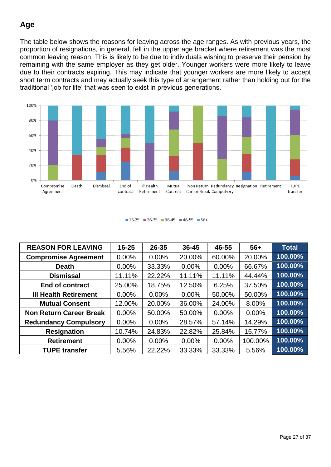# **Age**

The table below shows the reasons for leaving across the age ranges. As with previous years, the proportion of resignations, in general, fell in the upper age bracket where retirement was the most common leaving reason. This is likely to be due to individuals wishing to preserve their pension by remaining with the same employer as they get older. Younger workers were more likely to leave due to their contracts expiring. This may indicate that younger workers are more likely to accept short term contracts and may actually seek this type of arrangement rather than holding out for the traditional 'job for life' that was seen to exist in previous generations.



#### $16-25$  26-35 36-45 46-55 56+

| <b>REASON FOR LEAVING</b>      | $16 - 25$ | $26 - 35$ | 36-45    | 46-55    | $56+$   | <b>Total</b> |
|--------------------------------|-----------|-----------|----------|----------|---------|--------------|
| <b>Compromise Agreement</b>    | 0.00%     | 0.00%     | 20.00%   | 60.00%   | 20.00%  | 100.00%      |
| <b>Death</b>                   | $0.00\%$  | 33.33%    | 0.00%    | 0.00%    | 66.67%  | 100.00%      |
| <b>Dismissal</b>               | 11.11%    | 22.22%    | 11.11%   | 11.11%   | 44.44%  | 100.00%      |
| <b>End of contract</b>         | 25.00%    | 18.75%    | 12.50%   | 6.25%    | 37.50%  | 100.00%      |
| <b>III Health Retirement</b>   | 0.00%     | 0.00%     | 0.00%    | 50.00%   | 50.00%  | 100.00%      |
| <b>Mutual Consent</b>          | 12.00%    | 20.00%    | 36.00%   | 24.00%   | 8.00%   | 100.00%      |
| <b>Non Return Career Break</b> | $0.00\%$  | 50.00%    | 50.00%   | $0.00\%$ | 0.00%   | 100.00%      |
| <b>Redundancy Compulsory</b>   | $0.00\%$  | $0.00\%$  | 28.57%   | 57.14%   | 14.29%  | 100.00%      |
| <b>Resignation</b>             | 10.74%    | 24.83%    | 22.82%   | 25.84%   | 15.77%  | 100.00%      |
| <b>Retirement</b>              | $0.00\%$  | $0.00\%$  | $0.00\%$ | $0.00\%$ | 100.00% | 100.00%      |
| <b>TUPE transfer</b>           | 5.56%     | 22.22%    | 33.33%   | 33.33%   | 5.56%   | 100.00%      |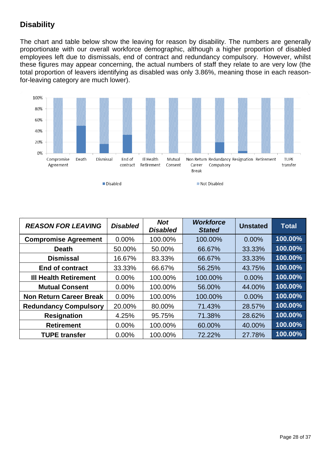## **Disability**

The chart and table below show the leaving for reason by disability. The numbers are generally proportionate with our overall workforce demographic, although a higher proportion of disabled employees left due to dismissals, end of contract and redundancy compulsory. However, whilst these figures may appear concerning, the actual numbers of staff they relate to are very low (the total proportion of leavers identifying as disabled was only 3.86%, meaning those in each reasonfor-leaving category are much lower).



| <b>REASON FOR LEAVING</b>      | <b>Disabled</b> | <b>Not</b><br><b>Disabled</b> | <b>Workforce</b><br><b>Stated</b> | <b>Unstated</b> | <b>Total</b> |
|--------------------------------|-----------------|-------------------------------|-----------------------------------|-----------------|--------------|
| <b>Compromise Agreement</b>    | 0.00%           | 100.00%                       | 100.00%                           | 0.00%           | 100.00%      |
| <b>Death</b>                   | 50.00%          | 50.00%                        | 66.67%                            | 33.33%          | 100.00%      |
| <b>Dismissal</b>               | 16.67%          | 83.33%                        | 66.67%                            | 33.33%          | 100.00%      |
| <b>End of contract</b>         | 33.33%          | 66.67%                        | 56.25%                            | 43.75%          | 100.00%      |
| <b>III Health Retirement</b>   | $0.00\%$        | 100.00%                       | 100.00%                           | 0.00%           | 100.00%      |
| <b>Mutual Consent</b>          | $0.00\%$        | 100.00%                       | 56.00%                            | 44.00%          | 100.00%      |
| <b>Non Return Career Break</b> | $0.00\%$        | 100.00%                       | 100.00%                           | 0.00%           | 100.00%      |
| <b>Redundancy Compulsory</b>   | 20.00%          | 80.00%                        | 71.43%                            | 28.57%          | $100.00\%$   |
| <b>Resignation</b>             | 4.25%           | 95.75%                        | 71.38%                            | 28.62%          | 100.00%      |
| <b>Retirement</b>              | $0.00\%$        | 100.00%                       | 60.00%                            | 40.00%          | 100.00%      |
| <b>TUPE transfer</b>           | 0.00%           | 100.00%                       | 72.22%                            | 27.78%          | 100.00%      |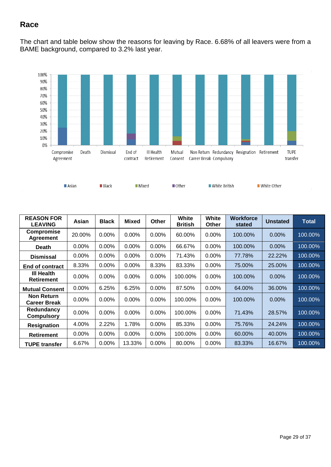# **Race**

The chart and table below show the reasons for leaving by Race. 6.68% of all leavers were from a BAME background, compared to 3.2% last year.



| <b>REASON FOR</b><br><b>LEAVING</b>      | Asian    | <b>Black</b> | <b>Mixed</b> | Other    | White<br><b>British</b> | White<br>Other | <b>Workforce</b><br>stated | <b>Unstated</b> | <b>Total</b> |
|------------------------------------------|----------|--------------|--------------|----------|-------------------------|----------------|----------------------------|-----------------|--------------|
| <b>Compromise</b><br><b>Agreement</b>    | 20.00%   | 0.00%        | $0.00\%$     | $0.00\%$ | 60.00%                  | 0.00%          | 100.00%                    | $0.00\%$        | 100.00%      |
| <b>Death</b>                             | $0.00\%$ | $0.00\%$     | 0.00%        | 0.00%    | 66.67%                  | 0.00%          | 100.00%                    | $0.00\%$        | 100.00%      |
| <b>Dismissal</b>                         | $0.00\%$ | $0.00\%$     | 0.00%        | $0.00\%$ | 71.43%                  | 0.00%          | 77.78%                     | 22.22%          | 100.00%      |
| End of contract                          | 8.33%    | $0.00\%$     | 0.00%        | 8.33%    | 83.33%                  | 0.00%          | 75.00%                     | 25.00%          | 100.00%      |
| <b>III Health</b><br><b>Retirement</b>   | $0.00\%$ | $0.00\%$     | $0.00\%$     | $0.00\%$ | 100.00%                 | $0.00\%$       | 100.00%                    | $0.00\%$        | 100.00%      |
| <b>Mutual Consent</b>                    | 0.00%    | 6.25%        | 6.25%        | 0.00%    | 87.50%                  | $0.00\%$       | 64.00%                     | 36.00%          | 100.00%      |
| <b>Non Return</b><br><b>Career Break</b> | 0.00%    | 0.00%        | 0.00%        | 0.00%    | 100.00%                 | 0.00%          | 100.00%                    | $0.00\%$        | 100.00%      |
| Redundancy<br><b>Compulsory</b>          | $0.00\%$ | $0.00\%$     | 0.00%        | $0.00\%$ | 100.00%                 | 0.00%          | 71.43%                     | 28.57%          | 100.00%      |
| <b>Resignation</b>                       | 4.00%    | 2.22%        | 1.78%        | 0.00%    | 85.33%                  | 0.00%          | 75.76%                     | 24.24%          | 100.00%      |
| <b>Retirement</b>                        | 0.00%    | $0.00\%$     | 0.00%        | 0.00%    | 100.00%                 | 0.00%          | 60.00%                     | 40.00%          | 100.00%      |
| <b>TUPE transfer</b>                     | 6.67%    | $0.00\%$     | 13.33%       | 0.00%    | 80.00%                  | $0.00\%$       | 83.33%                     | 16.67%          | 100.00%      |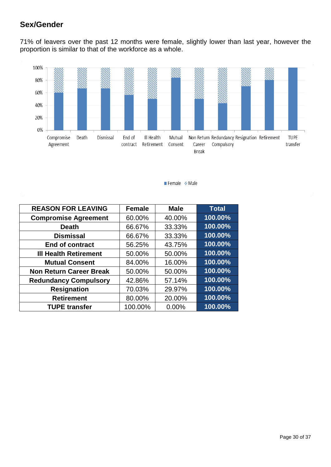# **Sex/Gender**

71% of leavers over the past 12 months were female, slightly lower than last year, however the proportion is similar to that of the workforce as a whole.



Female % Male

| <b>REASON FOR LEAVING</b>      | <b>Female</b> | <b>Male</b> | <b>Total</b> |
|--------------------------------|---------------|-------------|--------------|
| <b>Compromise Agreement</b>    | 60.00%        | 40.00%      | 100.00%      |
| <b>Death</b>                   | 66.67%        | 33.33%      | 100.00%      |
| <b>Dismissal</b>               | 66.67%        | 33.33%      | 100.00%      |
| <b>End of contract</b>         | 56.25%        | 43.75%      | 100.00%      |
| <b>III Health Retirement</b>   | 50.00%        | 50.00%      | 100.00%      |
| <b>Mutual Consent</b>          | 84.00%        | 16.00%      | 100.00%      |
| <b>Non Return Career Break</b> | 50.00%        | 50.00%      | $100.00\%$   |
| <b>Redundancy Compulsory</b>   | 42.86%        | 57.14%      | 100.00%      |
| <b>Resignation</b>             | 70.03%        | 29.97%      | 100.00%      |
| <b>Retirement</b>              | 80.00%        | 20.00%      | 100.00%      |
| <b>TUPE transfer</b>           | 100.00%       | 0.00%       | 100.00%      |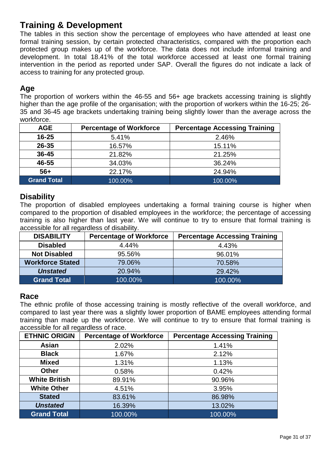# **Training & Development**

The tables in this section show the percentage of employees who have attended at least one formal training session, by certain protected characteristics, compared with the proportion each protected group makes up of the workforce. The data does not include informal training and development. In total 18.41% of the total workforce accessed at least one formal training intervention in the period as reported under SAP. Overall the figures do not indicate a lack of access to training for any protected group.

### **Age**

The proportion of workers within the 46-55 and 56+ age brackets accessing training is slightly higher than the age profile of the organisation; with the proportion of workers within the 16-25; 26- 35 and 36-45 age brackets undertaking training being slightly lower than the average across the workforce.

| <b>AGE</b>         | <b>Percentage of Workforce</b> | <b>Percentage Accessing Training</b> |
|--------------------|--------------------------------|--------------------------------------|
| $16 - 25$          | 5.41%                          | 2.46%                                |
| 26-35              | 16.57%                         | 15.11%                               |
| 36-45              | 21.82%                         | 21.25%                               |
| 46-55              | 34.03%                         | 36.24%                               |
| $56+$              | 22.17%                         | 24.94%                               |
| <b>Grand Total</b> | 100.00%                        | 100.00%                              |

#### **Disability**

The proportion of disabled employees undertaking a formal training course is higher when compared to the proportion of disabled employees in the workforce; the percentage of accessing training is also higher than last year. We will continue to try to ensure that formal training is accessible for all regardless of disability.

| <b>DISABILITY</b>       | <b>Percentage of Workforce</b> | <b>Percentage Accessing Training</b> |
|-------------------------|--------------------------------|--------------------------------------|
| <b>Disabled</b>         | 4.44%                          | 4.43%                                |
| <b>Not Disabled</b>     | 95.56%                         | 96.01%                               |
| <b>Workforce Stated</b> | 79.06%                         | 70.58%                               |
| <b>Unstated</b>         | 20.94%                         | 29.42%                               |
| <b>Grand Total</b>      | 100.00%                        | 100.00%                              |

#### **Race**

The ethnic profile of those accessing training is mostly reflective of the overall workforce, and compared to last year there was a slightly lower proportion of BAME employees attending formal training than made up the workforce. We will continue to try to ensure that formal training is accessible for all regardless of race.

| <b>ETHNIC ORIGIN</b> | <b>Percentage of Workforce</b> | <b>Percentage Accessing Training</b> |
|----------------------|--------------------------------|--------------------------------------|
| Asian                | 2.02%                          | 1.41%                                |
| <b>Black</b>         | 1.67%                          | 2.12%                                |
| <b>Mixed</b>         | 1.31%                          | 1.13%                                |
| <b>Other</b>         | 0.58%                          | 0.42%                                |
| <b>White British</b> | 89.91%                         | 90.96%                               |
| <b>White Other</b>   | 4.51%                          | 3.95%                                |
| <b>Stated</b>        | 83.61%                         | 86.98%                               |
| <b>Unstated</b>      | 16.39%                         | 13.02%                               |
| <b>Grand Total</b>   | 100.00%                        | 100.00%                              |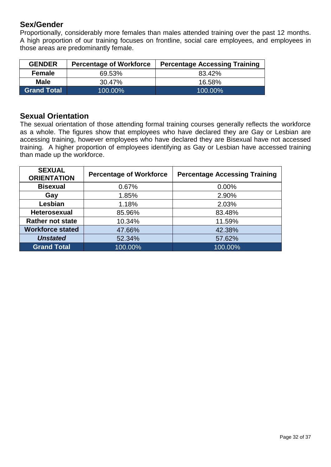### **Sex/Gender**

Proportionally, considerably more females than males attended training over the past 12 months. A high proportion of our training focuses on frontline, social care employees, and employees in those areas are predominantly female.

| <b>GENDER</b>      | <b>Percentage of Workforce</b> | <b>Percentage Accessing Training</b> |
|--------------------|--------------------------------|--------------------------------------|
| <b>Female</b>      | 69.53%                         | 83.42%                               |
| Male               | 30.47%                         | 16.58%                               |
| <b>Grand Total</b> | 100.00%                        | 100.00%                              |

#### **Sexual Orientation**

The sexual orientation of those attending formal training courses generally reflects the workforce as a whole. The figures show that employees who have declared they are Gay or Lesbian are accessing training, however employees who have declared they are Bisexual have not accessed training. A higher proportion of employees identifying as Gay or Lesbian have accessed training than made up the workforce.

| <b>SEXUAL</b><br><b>ORIENTATION</b> | <b>Percentage of Workforce</b> | <b>Percentage Accessing Training</b> |
|-------------------------------------|--------------------------------|--------------------------------------|
| <b>Bisexual</b>                     | 0.67%                          | 0.00%                                |
| Gay                                 | 1.85%                          | 2.90%                                |
| Lesbian                             | 1.18%                          | 2.03%                                |
| <b>Heterosexual</b>                 | 85.96%                         | 83.48%                               |
| <b>Rather not state</b>             | 10.34%                         | 11.59%                               |
| <b>Workforce stated</b>             | 47.66%                         | 42.38%                               |
| <b>Unstated</b>                     | 52.34%                         | 57.62%                               |
| <b>Grand Total</b>                  | 100.00%                        | 100.00%                              |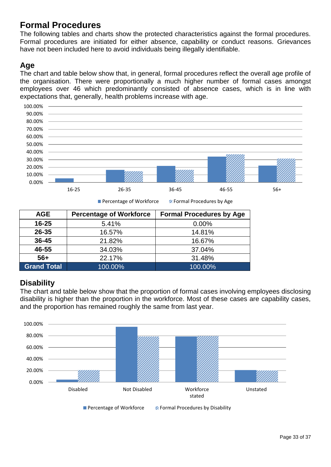# **Formal Procedures**

The following tables and charts show the protected characteristics against the formal procedures. Formal procedures are initiated for either absence, capability or conduct reasons. Grievances have not been included here to avoid individuals being illegally identifiable.

### **Age**

The chart and table below show that, in general, formal procedures reflect the overall age profile of the organisation. There were proportionally a much higher number of formal cases amongst employees over 46 which predominantly consisted of absence cases, which is in line with expectations that, generally, health problems increase with age.



**Percentage of Workforce 2 Formal Procedures by Age** 

| <b>AGE</b>         | <b>Percentage of Workforce</b> | <b>Formal Procedures by Age</b> |
|--------------------|--------------------------------|---------------------------------|
| $16 - 25$          | 5.41%                          | $0.00\%$                        |
| $26 - 35$          | 16.57%                         | 14.81%                          |
| $36 - 45$          | 21.82%                         | 16.67%                          |
| 46-55              | 34.03%                         | 37.04%                          |
| $56+$              | 22.17%                         | 31.48%                          |
| <b>Grand Total</b> | 100.00%                        | 100.00%                         |

### **Disability**

The chart and table below show that the proportion of formal cases involving employees disclosing disability is higher than the proportion in the workforce. Most of these cases are capability cases, and the proportion has remained roughly the same from last year.

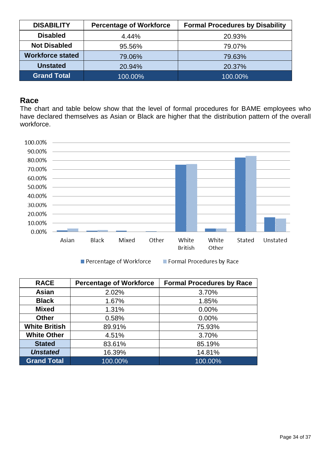| <b>DISABILITY</b>       | <b>Percentage of Workforce</b> | <b>Formal Procedures by Disability</b> |  |
|-------------------------|--------------------------------|----------------------------------------|--|
| <b>Disabled</b>         | 4.44%                          | 20.93%                                 |  |
| <b>Not Disabled</b>     | 95.56%                         | 79.07%                                 |  |
| <b>Workforce stated</b> | 79.06%                         | 79.63%                                 |  |
| <b>Unstated</b>         | 20.94%                         | 20.37%                                 |  |
| <b>Grand Total</b>      | 100.00%                        | 100.00%                                |  |

#### **Race**

The chart and table below show that the level of formal procedures for BAME employees who have declared themselves as Asian or Black are higher that the distribution pattern of the overall workforce.



Percentage of Workforce

**% Formal Procedures by Race** 

| <b>RACE</b>                    | <b>Percentage of Workforce</b> | <b>Formal Procedures by Race</b> |  |
|--------------------------------|--------------------------------|----------------------------------|--|
| Asian                          | 2.02%                          | 3.70%                            |  |
| <b>Black</b>                   | 1.67%                          | 1.85%                            |  |
| <b>Mixed</b>                   | 1.31%                          | $0.00\%$                         |  |
| <b>Other</b>                   | 0.58%                          | 0.00%                            |  |
| <b>White British</b><br>89.91% |                                | 75.93%                           |  |
| <b>White Other</b>             | 4.51%                          | 3.70%                            |  |
| <b>Stated</b>                  | 83.61%                         | 85.19%                           |  |
| <b>Unstated</b>                | 16.39%                         | 14.81%                           |  |
| <b>Grand Total</b>             | 100.00%                        | 100.00%                          |  |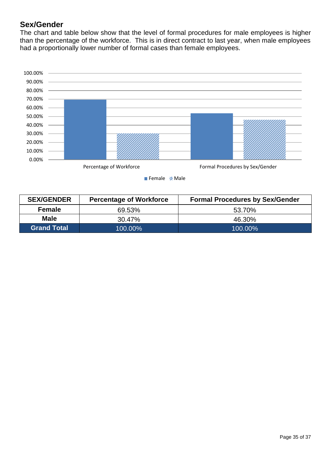### **Sex/Gender**

The chart and table below show that the level of formal procedures for male employees is higher than the percentage of the workforce. This is in direct contract to last year, when male employees had a proportionally lower number of formal cases than female employees.



Female 2 Male

| <b>SEX/GENDER</b>             | <b>Percentage of Workforce</b> | <b>Formal Procedures by Sex/Gender</b> |
|-------------------------------|--------------------------------|----------------------------------------|
| <b>Female</b><br>69.53%       |                                | 53.70%                                 |
| <b>Male</b><br>30.47%         |                                | 46.30%                                 |
| <b>Grand Total</b><br>100.00% |                                | 100.00%                                |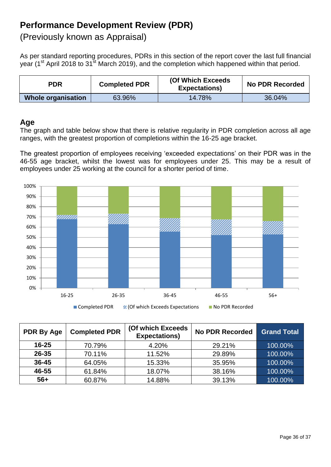# **Performance Development Review (PDR)**

(Previously known as Appraisal)

As per standard reporting procedures, PDRs in this section of the report cover the last full financial year (1<sup>st</sup> April 2018 to 31<sup>st</sup> March 2019), and the completion which happened within that period.

| <b>PDR</b>         | <b>Completed PDR</b> |        | <b>No PDR Recorded</b> |
|--------------------|----------------------|--------|------------------------|
| Whole organisation | 63.96%               | 14.78% | 36.04%                 |

### **Age**

The graph and table below show that there is relative regularity in PDR completion across all age ranges, with the greatest proportion of completions within the 16-25 age bracket.

The greatest proportion of employees receiving 'exceeded expectations' on their PDR was in the 46-55 age bracket, whilst the lowest was for employees under 25. This may be a result of employees under 25 working at the council for a shorter period of time.



| <b>PDR By Age</b> | <b>Completed PDR</b> | (Of which Exceeds<br><b>Expectations)</b> | <b>No PDR Recorded</b> | <b>Grand Total</b> |
|-------------------|----------------------|-------------------------------------------|------------------------|--------------------|
| $16 - 25$         | 70.79%               | 4.20%                                     | 29.21%                 | 100.00%            |
| 26-35             | 70.11%               | 11.52%                                    | 29.89%                 | 100.00%            |
| $36 - 45$         | 64.05%               | 15.33%                                    | 35.95%                 | 100.00%            |
| 46-55             | 61.84%               | 18.07%                                    | 38.16%                 | 100.00%            |
| $56+$             | 60.87%               | 14.88%                                    | 39.13%                 | 100.00%            |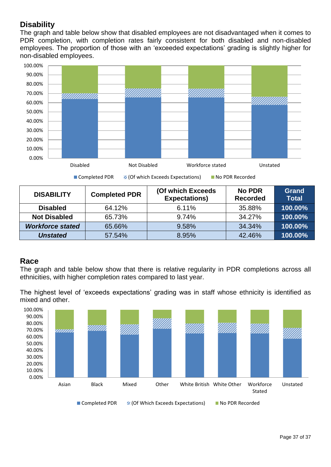# **Disability**

The graph and table below show that disabled employees are not disadvantaged when it comes to PDR completion, with completion rates fairly consistent for both disabled and non-disabled employees. The proportion of those with an 'exceeded expectations' grading is slightly higher for non-disabled employees.



| <b>DISABILITY</b>       | <b>Completed PDR</b> | (Of which Exceeds<br><b>Expectations)</b> | <b>No PDR</b><br><b>Recorded</b> | <b>Grand</b><br><b>Total</b> |
|-------------------------|----------------------|-------------------------------------------|----------------------------------|------------------------------|
| <b>Disabled</b>         | 64.12%               | 6.11%                                     | 35.88%                           | 100.00%                      |
| <b>Not Disabled</b>     | 65.73%               | 9.74%                                     | 34.27%                           | 100.00%                      |
| <b>Workforce stated</b> | 65.66%               | 9.58%                                     | 34.34%                           | 100.00%                      |
| <b>Unstated</b>         | 57.54%               | 8.95%                                     | 42.46%                           | 100.00%                      |

#### **Race**

The graph and table below show that there is relative regularity in PDR completions across all ethnicities, with higher completion rates compared to last year.

The highest level of 'exceeds expectations' grading was in staff whose ethnicity is identified as mixed and other.